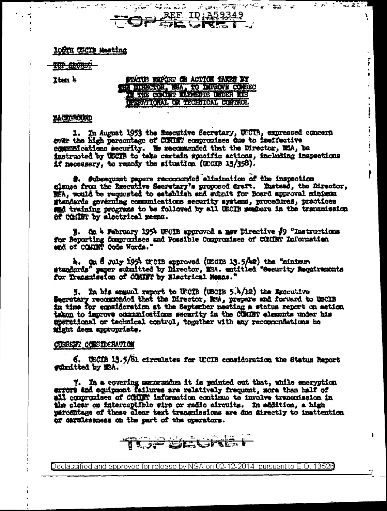100TH USCIB Meeting

TOP SECTION

Iten 4

STATUS REPORT ON ACTION TAKER BY THE DIRECTOR, NSA, TO DIFFONE CONSECT IN THE COMMIT ELEMENTS UNDER RIS DESENTIONAL OR TECHNICAL CONTROL

 $\overline{\mathbb{C}^2 \times \mathbb{C}^2}$  ,  $\overline{\mathbb{C}^2 \times \mathbb{C}^2}$  ,  $\overline{\mathbb{C}^2 \times \mathbb{C}^2}$  ,  $\overline{\mathbb{C}^2 \times \mathbb{C}^2}$  ,  $\overline{\mathbb{C}^2 \times \mathbb{C}^2}$  ,  $\overline{\mathbb{C}^2 \times \mathbb{C}^2}$  ,  $\overline{\mathbb{C}^2 \times \mathbb{C}^2}$  ,  $\overline{\mathbb{C}^2 \times \mathbb{C}^2}$  ,  $\overline{\$ 

ī

ŧ.

İ

ļ.

## **ALCIGROUND**

1. In August 1953 the Executive Secretary, UECTB, expressed concern over the high percontage of COMINT compromises due to ineffective communications security. We recommended that the Director, MSA, be instructed by USCIB to take certain specific actions, including inspections if necessary, to remedy the situation (UCCOB 13/358).

. Subsequent papers recommunded elimination of the inspection giause from the Executive Secretary's proposed draft. Instead, the Director, get, would be requested to establish and submit for Board approval minimum gtandards governing communications security systems, procedures, practices sad training programs to be followed by all UECIB members in the transmission of Collin by alcotrical nesns.

1. On 4 February 1954 USCIB approved a new Directive #9 "instructions for Reporting Compromises and Possible Compromises of COMINT Information

4. On 8 July 1954 troin approved (USCIB 13.5/42) the "minimum standards" paper submitted by Director, MSA. entitled "Security Bequirements for framenission of CONTRT by Electrical Means."

5. In his annual report to USCIB (USCIB 5.4/12) the Executive Secretary recommended that the Director, NSA, prepare and forward to USCIB in time for equalisration at the September meeting a status report on action taken to improve communications security in the COMINT elements under his sperational or technical control, together with any recommendations he wight deem appropriate.

# CURRENT COESIDERATION

6. USCIB 13.5/81 circulates for USCIB consideration the Status Report gubmitted by MSA.

7. In a covering memorandum it is pointed out that, while encryption errors and equippont failures are relatively frequent, more than half of all commonises of COMPT information continue to involve transmission in the clear on interceptible wire or radio aircuits. In addition, a high parcentage of these clear text transmissions are one directly to inattention of carelessness on the part of the operators.

**GJP SEGRE**T

Declassified and approved for release by NSA on 02-12-2014 pursuant to E.O. 13526